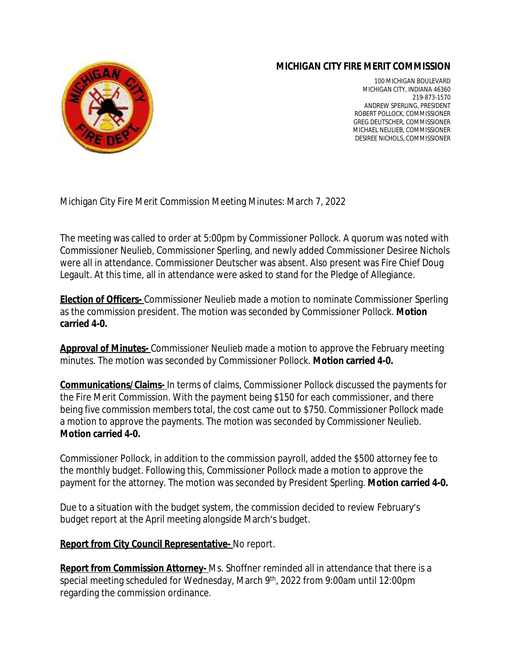## **MICHIGAN CITY FIRE MERIT COMMISSION**



100 MICHIGAN BOULEVARD MICHIGAN CITY, INDIANA 46360 219-873-1570 ANDREW SPERLING, PRESIDENT ROBERT POLLOCK, COMMISSIONER GREG DEUTSCHER, COMMISSIONER MICHAEL NEULIEB, COMMISSIONER DESIREE NICHOLS, COMMISSIONER

Michigan City Fire Merit Commission Meeting Minutes: March 7, 2022

The meeting was called to order at 5:00pm by Commissioner Pollock. A quorum was noted with Commissioner Neulieb, Commissioner Sperling, and newly added Commissioner Desiree Nichols were all in attendance. Commissioner Deutscher was absent. Also present was Fire Chief Doug Legault. At this time, all in attendance were asked to stand for the Pledge of Allegiance.

**Election of Officers-** Commissioner Neulieb made a motion to nominate Commissioner Sperling as the commission president. The motion was seconded by Commissioner Pollock. **Motion carried 4-0.** 

**Approval of Minutes-** Commissioner Neulieb made a motion to approve the February meeting minutes. The motion was seconded by Commissioner Pollock. **Motion carried 4-0.**

**Communications/Claims-** In terms of claims, Commissioner Pollock discussed the payments for the Fire Merit Commission. With the payment being \$150 for each commissioner, and there being five commission members total, the cost came out to \$750. Commissioner Pollock made a motion to approve the payments. The motion was seconded by Commissioner Neulieb. **Motion carried 4-0.**

Commissioner Pollock, in addition to the commission payroll, added the \$500 attorney fee to the monthly budget. Following this, Commissioner Pollock made a motion to approve the payment for the attorney. The motion was seconded by President Sperling. **Motion carried 4-0.**

Due to a situation with the budget system, the commission decided to review February's budget report at the April meeting alongside March's budget.

## **Report from City Council Representative-** No report.

**Report from Commission Attorney-** Ms. Shoffner reminded all in attendance that there is a special meeting scheduled for Wednesday, March 9th , 2022 from 9:00am until 12:00pm regarding the commission ordinance.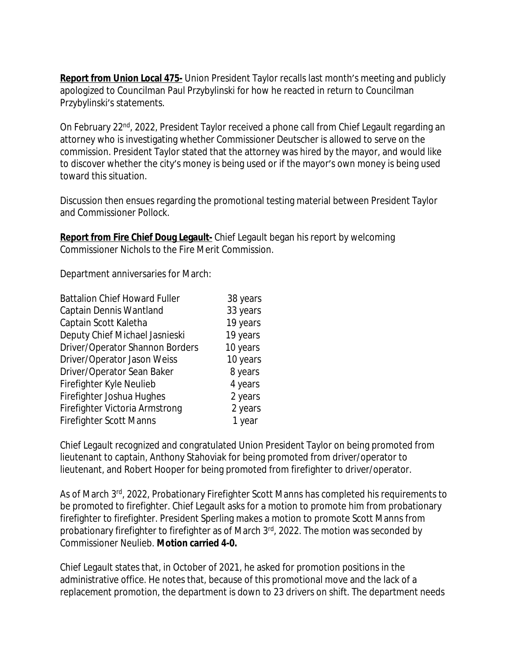**Report from Union Local 475-** Union President Taylor recalls last month's meeting and publicly apologized to Councilman Paul Przybylinski for how he reacted in return to Councilman Przybylinski's statements.

On February 22<sup>nd</sup>, 2022, President Taylor received a phone call from Chief Legault regarding an attorney who is investigating whether Commissioner Deutscher is allowed to serve on the commission. President Taylor stated that the attorney was hired by the mayor, and would like to discover whether the city's money is being used or if the mayor's own money is being used toward this situation.

Discussion then ensues regarding the promotional testing material between President Taylor and Commissioner Pollock.

**Report from Fire Chief Doug Legault-** Chief Legault began his report by welcoming Commissioner Nichols to the Fire Merit Commission.

Department anniversaries for March:

| <b>Battalion Chief Howard Fuller</b> | 38 years |
|--------------------------------------|----------|
| Captain Dennis Wantland              | 33 years |
| Captain Scott Kaletha                | 19 years |
| Deputy Chief Michael Jasnieski       | 19 years |
| Driver/Operator Shannon Borders      | 10 years |
| Driver/Operator Jason Weiss          | 10 years |
| Driver/Operator Sean Baker           | 8 years  |
| Firefighter Kyle Neulieb             | 4 years  |
| Firefighter Joshua Hughes            | 2 years  |
| Firefighter Victoria Armstrong       | 2 years  |
| <b>Firefighter Scott Manns</b>       | 1 year   |

Chief Legault recognized and congratulated Union President Taylor on being promoted from lieutenant to captain, Anthony Stahoviak for being promoted from driver/operator to lieutenant, and Robert Hooper for being promoted from firefighter to driver/operator.

As of March 3<sup>rd</sup>, 2022, Probationary Firefighter Scott Manns has completed his requirements to be promoted to firefighter. Chief Legault asks for a motion to promote him from probationary firefighter to firefighter. President Sperling makes a motion to promote Scott Manns from probationary firefighter to firefighter as of March 3rd, 2022. The motion was seconded by Commissioner Neulieb. **Motion carried 4-0.**

Chief Legault states that, in October of 2021, he asked for promotion positions in the administrative office. He notes that, because of this promotional move and the lack of a replacement promotion, the department is down to 23 drivers on shift. The department needs